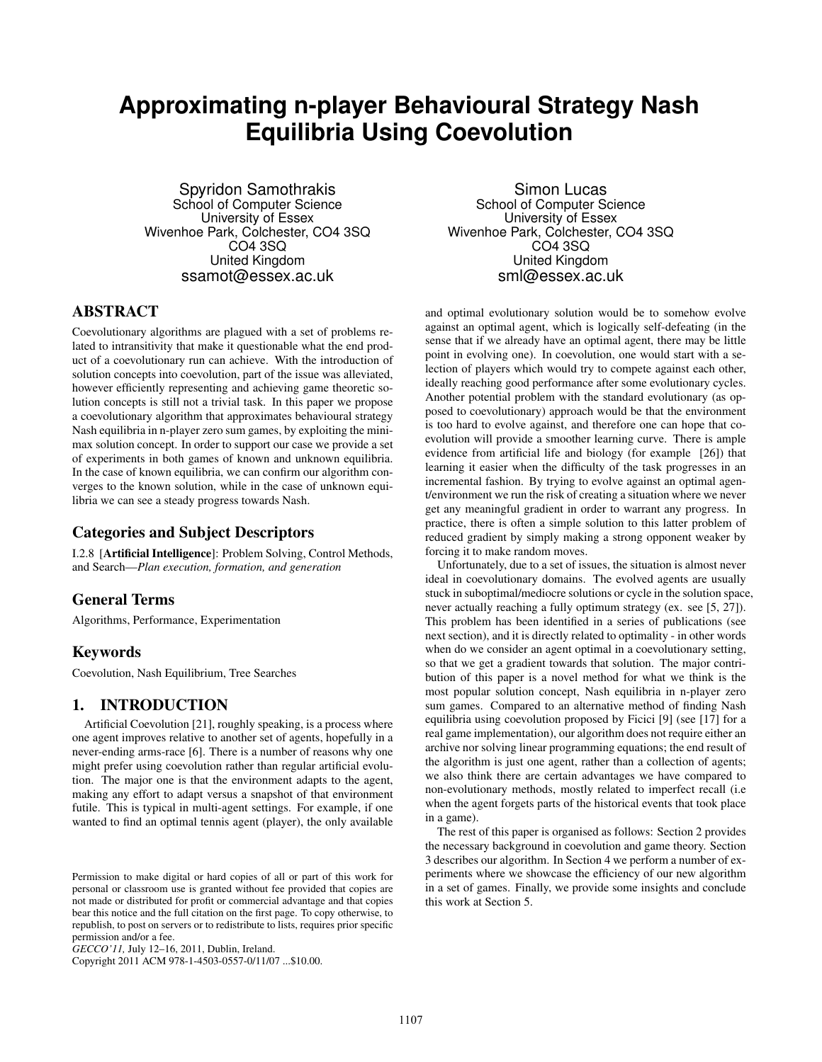# **Approximating n-player Behavioural Strategy Nash Equilibria Using Coevolution**

Spyridon Samothrakis School of Computer Science University of Essex Wivenhoe Park, Colchester, CO4 3SQ CO4 3SQ United Kingdom ssamot@essex.ac.uk

## ABSTRACT

Coevolutionary algorithms are plagued with a set of problems related to intransitivity that make it questionable what the end product of a coevolutionary run can achieve. With the introduction of solution concepts into coevolution, part of the issue was alleviated, however efficiently representing and achieving game theoretic solution concepts is still not a trivial task. In this paper we propose a coevolutionary algorithm that approximates behavioural strategy Nash equilibria in n-player zero sum games, by exploiting the minimax solution concept. In order to support our case we provide a set of experiments in both games of known and unknown equilibria. In the case of known equilibria, we can confirm our algorithm converges to the known solution, while in the case of unknown equilibria we can see a steady progress towards Nash.

## Categories and Subject Descriptors

I.2.8 [Artificial Intelligence]: Problem Solving, Control Methods, and Search—*Plan execution, formation, and generation*

## General Terms

Algorithms, Performance, Experimentation

## Keywords

Coevolution, Nash Equilibrium, Tree Searches

## 1. INTRODUCTION

Artificial Coevolution [21], roughly speaking, is a process where one agent improves relative to another set of agents, hopefully in a never-ending arms-race [6]. There is a number of reasons why one might prefer using coevolution rather than regular artificial evolution. The major one is that the environment adapts to the agent, making any effort to adapt versus a snapshot of that environment futile. This is typical in multi-agent settings. For example, if one wanted to find an optimal tennis agent (player), the only available

Copyright 2011 ACM 978-1-4503-0557-0/11/07 ...\$10.00.

Simon Lucas School of Computer Science University of Essex Wivenhoe Park, Colchester, CO4 3SQ CO4 3SQ United Kingdom sml@essex.ac.uk

and optimal evolutionary solution would be to somehow evolve against an optimal agent, which is logically self-defeating (in the sense that if we already have an optimal agent, there may be little point in evolving one). In coevolution, one would start with a selection of players which would try to compete against each other, ideally reaching good performance after some evolutionary cycles. Another potential problem with the standard evolutionary (as opposed to coevolutionary) approach would be that the environment is too hard to evolve against, and therefore one can hope that coevolution will provide a smoother learning curve. There is ample evidence from artificial life and biology (for example [26]) that learning it easier when the difficulty of the task progresses in an incremental fashion. By trying to evolve against an optimal agent/environment we run the risk of creating a situation where we never get any meaningful gradient in order to warrant any progress. In practice, there is often a simple solution to this latter problem of reduced gradient by simply making a strong opponent weaker by forcing it to make random moves.

Unfortunately, due to a set of issues, the situation is almost never ideal in coevolutionary domains. The evolved agents are usually stuck in suboptimal/mediocre solutions or cycle in the solution space, never actually reaching a fully optimum strategy (ex. see [5, 27]). This problem has been identified in a series of publications (see next section), and it is directly related to optimality - in other words when do we consider an agent optimal in a coevolutionary setting, so that we get a gradient towards that solution. The major contribution of this paper is a novel method for what we think is the most popular solution concept, Nash equilibria in n-player zero sum games. Compared to an alternative method of finding Nash equilibria using coevolution proposed by Ficici [9] (see [17] for a real game implementation), our algorithm does not require either an archive nor solving linear programming equations; the end result of the algorithm is just one agent, rather than a collection of agents; we also think there are certain advantages we have compared to non-evolutionary methods, mostly related to imperfect recall (i.e when the agent forgets parts of the historical events that took place in a game).

The rest of this paper is organised as follows: Section 2 provides the necessary background in coevolution and game theory. Section 3 describes our algorithm. In Section 4 we perform a number of experiments where we showcase the efficiency of our new algorithm in a set of games. Finally, we provide some insights and conclude this work at Section 5.

Permission to make digital or hard copies of all or part of this work for personal or classroom use is granted without fee provided that copies are not made or distributed for profit or commercial advantage and that copies bear this notice and the full citation on the first page. To copy otherwise, to republish, to post on servers or to redistribute to lists, requires prior specific permission and/or a fee.

*GECCO'11,* July 12–16, 2011, Dublin, Ireland.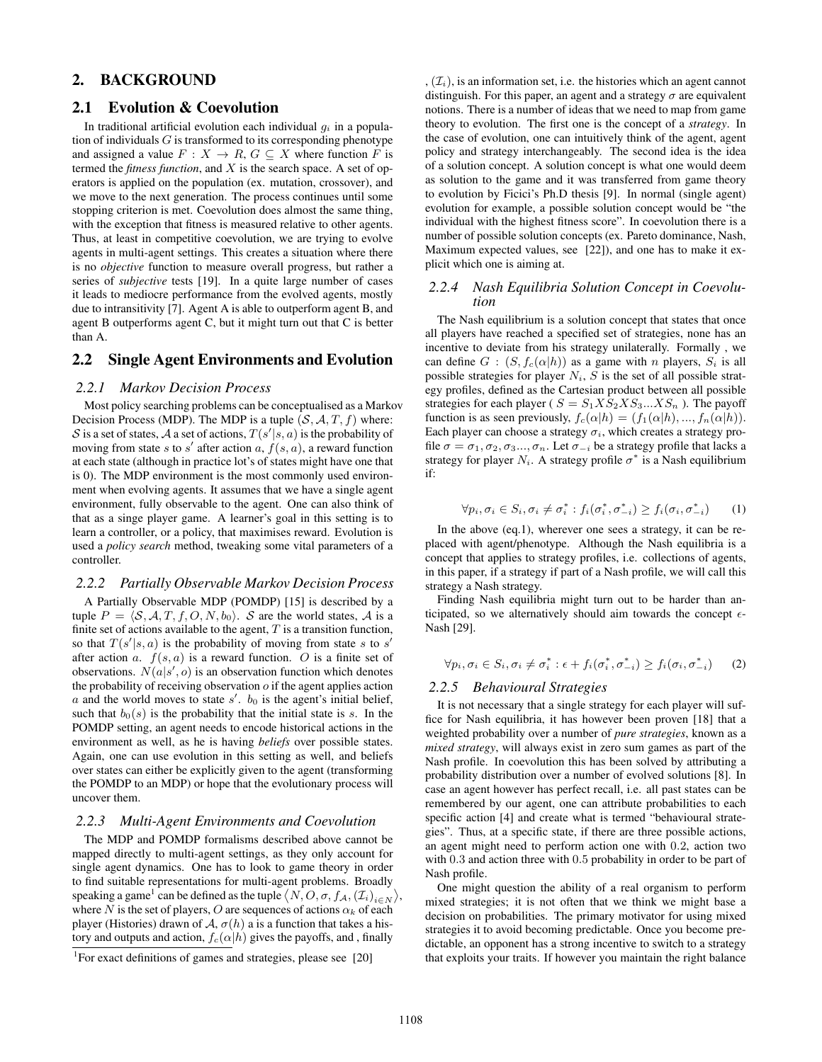## 2. BACKGROUND

## 2.1 Evolution & Coevolution

In traditional artificial evolution each individual  $g_i$  in a population of individuals  $G$  is transformed to its corresponding phenotype and assigned a value  $F : X \to R$ ,  $G \subseteq X$  where function F is termed the *fitness function*, and X is the search space. A set of operators is applied on the population (ex. mutation, crossover), and we move to the next generation. The process continues until some stopping criterion is met. Coevolution does almost the same thing, with the exception that fitness is measured relative to other agents. Thus, at least in competitive coevolution, we are trying to evolve agents in multi-agent settings. This creates a situation where there is no *objective* function to measure overall progress, but rather a series of *subjective* tests [19]. In a quite large number of cases it leads to mediocre performance from the evolved agents, mostly due to intransitivity [7]. Agent A is able to outperform agent B, and agent B outperforms agent C, but it might turn out that C is better than A.

#### 2.2 Single Agent Environments and Evolution

#### *2.2.1 Markov Decision Process*

Most policy searching problems can be conceptualised as a Markov Decision Process (MDP). The MDP is a tuple  $(S, \mathcal{A}, T, f)$  where: S is a set of states, A a set of actions,  $T(s'|s, a)$  is the probability of moving from state s to s' after action a,  $f(s, a)$ , a reward function at each state (although in practice lot's of states might have one that is 0). The MDP environment is the most commonly used environment when evolving agents. It assumes that we have a single agent environment, fully observable to the agent. One can also think of that as a singe player game. A learner's goal in this setting is to learn a controller, or a policy, that maximises reward. Evolution is used a *policy search* method, tweaking some vital parameters of a controller.

#### *2.2.2 Partially Observable Markov Decision Process*

A Partially Observable MDP (POMDP) [15] is described by a tuple  $P = \langle S, A, T, f, O, N, b_0 \rangle$ . S are the world states, A is a finite set of actions available to the agent,  $T$  is a transition function, so that  $T(s'|s, a)$  is the probability of moving from state s to s' after action a.  $f(s, a)$  is a reward function. O is a finite set of observations.  $N(a|s', o)$  is an observation function which denotes the probability of receiving observation  $o$  if the agent applies action  $a$  and the world moves to state  $s'$ .  $b_0$  is the agent's initial belief, such that  $b_0(s)$  is the probability that the initial state is s. In the POMDP setting, an agent needs to encode historical actions in the environment as well, as he is having *beliefs* over possible states. Again, one can use evolution in this setting as well, and beliefs over states can either be explicitly given to the agent (transforming the POMDP to an MDP) or hope that the evolutionary process will uncover them.

#### *2.2.3 Multi-Agent Environments and Coevolution*

The MDP and POMDP formalisms described above cannot be mapped directly to multi-agent settings, as they only account for single agent dynamics. One has to look to game theory in order to find suitable representations for multi-agent problems. Broadly speaking a game<sup>1</sup> can be defined as the tuple  $\langle N,O,\sigma,f_{\mathcal{A}},(\mathcal{I}_i)_{i\in N}\rangle$ , where N is the set of players, O are sequences of actions  $\alpha_k$  of each player (Histories) drawn of A,  $\sigma(h)$  a is a function that takes a history and outputs and action,  $f_c(\alpha|h)$  gives the payoffs, and, finally

,  $(\mathcal{I}_i)$ , is an information set, i.e. the histories which an agent cannot distinguish. For this paper, an agent and a strategy  $\sigma$  are equivalent notions. There is a number of ideas that we need to map from game theory to evolution. The first one is the concept of a *strategy*. In the case of evolution, one can intuitively think of the agent, agent policy and strategy interchangeably. The second idea is the idea of a solution concept. A solution concept is what one would deem as solution to the game and it was transferred from game theory to evolution by Ficici's Ph.D thesis [9]. In normal (single agent) evolution for example, a possible solution concept would be "the individual with the highest fitness score". In coevolution there is a number of possible solution concepts (ex. Pareto dominance, Nash, Maximum expected values, see [22]), and one has to make it explicit which one is aiming at.

#### *2.2.4 Nash Equilibria Solution Concept in Coevolution*

The Nash equilibrium is a solution concept that states that once all players have reached a specified set of strategies, none has an incentive to deviate from his strategy unilaterally. Formally , we can define  $G : (S, f_c(\alpha|h))$  as a game with n players,  $S_i$  is all possible strategies for player  $N_i$ , S is the set of all possible strategy profiles, defined as the Cartesian product between all possible strategies for each player ( $S = S_1 X S_2 X S_3 ... X S_n$ ). The payoff function is as seen previously,  $f_c(\alpha|h) = (f_1(\alpha|h), ..., f_n(\alpha|h)).$ Each player can choose a strategy  $\sigma_i$ , which creates a strategy profile  $\sigma = \sigma_1, \sigma_2, \sigma_3, \ldots, \sigma_n$ . Let  $\sigma_{-i}$  be a strategy profile that lacks a strategy for player  $N_i$ . A strategy profile  $\sigma^*$  is a Nash equilibrium if:

$$
\forall p_i, \sigma_i \in S_i, \sigma_i \neq \sigma_i^* : f_i(\sigma_i^*, \sigma_{-i}^*) \geq f_i(\sigma_i, \sigma_{-i}^*) \tag{1}
$$

In the above (eq.1), wherever one sees a strategy, it can be replaced with agent/phenotype. Although the Nash equilibria is a concept that applies to strategy profiles, i.e. collections of agents, in this paper, if a strategy if part of a Nash profile, we will call this strategy a Nash strategy.

Finding Nash equilibria might turn out to be harder than anticipated, so we alternatively should aim towards the concept  $\epsilon$ -Nash [29].

$$
\forall p_i, \sigma_i \in S_i, \sigma_i \neq \sigma_i^* : \epsilon + f_i(\sigma_i^*, \sigma_{-i}^*) \geq f_i(\sigma_i, \sigma_{-i}^*) \tag{2}
$$

#### *2.2.5 Behavioural Strategies*

It is not necessary that a single strategy for each player will suffice for Nash equilibria, it has however been proven [18] that a weighted probability over a number of *pure strategies*, known as a *mixed strategy*, will always exist in zero sum games as part of the Nash profile. In coevolution this has been solved by attributing a probability distribution over a number of evolved solutions [8]. In case an agent however has perfect recall, i.e. all past states can be remembered by our agent, one can attribute probabilities to each specific action [4] and create what is termed "behavioural strategies". Thus, at a specific state, if there are three possible actions, an agent might need to perform action one with 0.2, action two with 0.3 and action three with 0.5 probability in order to be part of Nash profile.

One might question the ability of a real organism to perform mixed strategies; it is not often that we think we might base a decision on probabilities. The primary motivator for using mixed strategies it to avoid becoming predictable. Once you become predictable, an opponent has a strong incentive to switch to a strategy that exploits your traits. If however you maintain the right balance

<sup>&</sup>lt;sup>1</sup>For exact definitions of games and strategies, please see [20]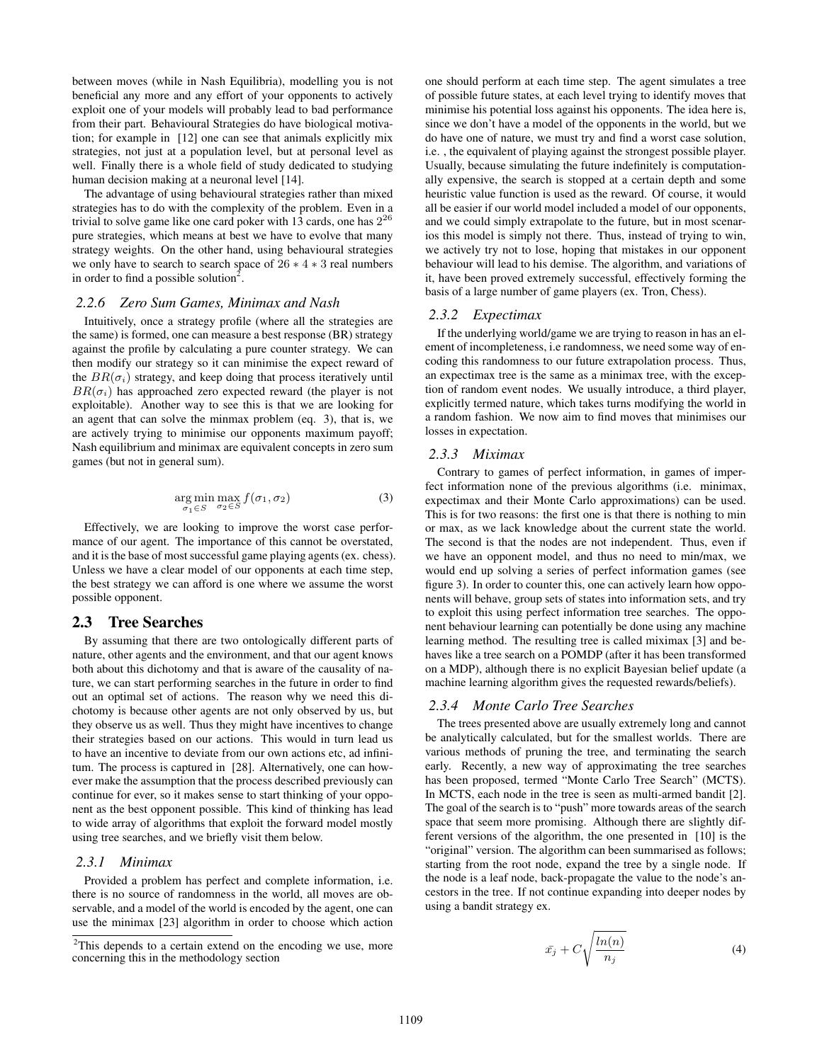between moves (while in Nash Equilibria), modelling you is not beneficial any more and any effort of your opponents to actively exploit one of your models will probably lead to bad performance from their part. Behavioural Strategies do have biological motivation; for example in [12] one can see that animals explicitly mix strategies, not just at a population level, but at personal level as well. Finally there is a whole field of study dedicated to studying human decision making at a neuronal level [14].

The advantage of using behavioural strategies rather than mixed strategies has to do with the complexity of the problem. Even in a trivial to solve game like one card poker with 13 cards, one has  $2^{26}$ pure strategies, which means at best we have to evolve that many strategy weights. On the other hand, using behavioural strategies we only have to search to search space of 26 ∗ 4 ∗ 3 real numbers in order to find a possible solution<sup>2</sup>.

#### *2.2.6 Zero Sum Games, Minimax and Nash*

Intuitively, once a strategy profile (where all the strategies are the same) is formed, one can measure a best response (BR) strategy against the profile by calculating a pure counter strategy. We can then modify our strategy so it can minimise the expect reward of the  $BR(\sigma_i)$  strategy, and keep doing that process iteratively until  $BR(\sigma_i)$  has approached zero expected reward (the player is not exploitable). Another way to see this is that we are looking for an agent that can solve the minmax problem (eq. 3), that is, we are actively trying to minimise our opponents maximum payoff; Nash equilibrium and minimax are equivalent concepts in zero sum games (but not in general sum).

$$
\underset{\sigma_1 \in S}{\arg \min} \max_{\sigma_2 \in S} f(\sigma_1, \sigma_2) \tag{3}
$$

Effectively, we are looking to improve the worst case performance of our agent. The importance of this cannot be overstated, and it is the base of most successful game playing agents (ex. chess). Unless we have a clear model of our opponents at each time step, the best strategy we can afford is one where we assume the worst possible opponent.

#### 2.3 Tree Searches

By assuming that there are two ontologically different parts of nature, other agents and the environment, and that our agent knows both about this dichotomy and that is aware of the causality of nature, we can start performing searches in the future in order to find out an optimal set of actions. The reason why we need this dichotomy is because other agents are not only observed by us, but they observe us as well. Thus they might have incentives to change their strategies based on our actions. This would in turn lead us to have an incentive to deviate from our own actions etc, ad infinitum. The process is captured in [28]. Alternatively, one can however make the assumption that the process described previously can continue for ever, so it makes sense to start thinking of your opponent as the best opponent possible. This kind of thinking has lead to wide array of algorithms that exploit the forward model mostly using tree searches, and we briefly visit them below.

#### *2.3.1 Minimax*

Provided a problem has perfect and complete information, i.e. there is no source of randomness in the world, all moves are observable, and a model of the world is encoded by the agent, one can use the minimax [23] algorithm in order to choose which action

one should perform at each time step. The agent simulates a tree of possible future states, at each level trying to identify moves that minimise his potential loss against his opponents. The idea here is, since we don't have a model of the opponents in the world, but we do have one of nature, we must try and find a worst case solution, i.e. , the equivalent of playing against the strongest possible player. Usually, because simulating the future indefinitely is computationally expensive, the search is stopped at a certain depth and some heuristic value function is used as the reward. Of course, it would all be easier if our world model included a model of our opponents, and we could simply extrapolate to the future, but in most scenarios this model is simply not there. Thus, instead of trying to win, we actively try not to lose, hoping that mistakes in our opponent behaviour will lead to his demise. The algorithm, and variations of it, have been proved extremely successful, effectively forming the basis of a large number of game players (ex. Tron, Chess).

#### *2.3.2 Expectimax*

If the underlying world/game we are trying to reason in has an element of incompleteness, i.e randomness, we need some way of encoding this randomness to our future extrapolation process. Thus, an expectimax tree is the same as a minimax tree, with the exception of random event nodes. We usually introduce, a third player, explicitly termed nature, which takes turns modifying the world in a random fashion. We now aim to find moves that minimises our losses in expectation.

### *2.3.3 Miximax*

Contrary to games of perfect information, in games of imperfect information none of the previous algorithms (i.e. minimax, expectimax and their Monte Carlo approximations) can be used. This is for two reasons: the first one is that there is nothing to min or max, as we lack knowledge about the current state the world. The second is that the nodes are not independent. Thus, even if we have an opponent model, and thus no need to min/max, we would end up solving a series of perfect information games (see figure 3). In order to counter this, one can actively learn how opponents will behave, group sets of states into information sets, and try to exploit this using perfect information tree searches. The opponent behaviour learning can potentially be done using any machine learning method. The resulting tree is called miximax [3] and behaves like a tree search on a POMDP (after it has been transformed on a MDP), although there is no explicit Bayesian belief update (a machine learning algorithm gives the requested rewards/beliefs).

#### *2.3.4 Monte Carlo Tree Searches*

The trees presented above are usually extremely long and cannot be analytically calculated, but for the smallest worlds. There are various methods of pruning the tree, and terminating the search early. Recently, a new way of approximating the tree searches has been proposed, termed "Monte Carlo Tree Search" (MCTS). In MCTS, each node in the tree is seen as multi-armed bandit [2]. The goal of the search is to "push" more towards areas of the search space that seem more promising. Although there are slightly different versions of the algorithm, the one presented in [10] is the "original" version. The algorithm can been summarised as follows; starting from the root node, expand the tree by a single node. If the node is a leaf node, back-propagate the value to the node's ancestors in the tree. If not continue expanding into deeper nodes by using a bandit strategy ex.

$$
\bar{x_j} + C \sqrt{\frac{\ln(n)}{n_j}} \tag{4}
$$

 $2$ This depends to a certain extend on the encoding we use, more concerning this in the methodology section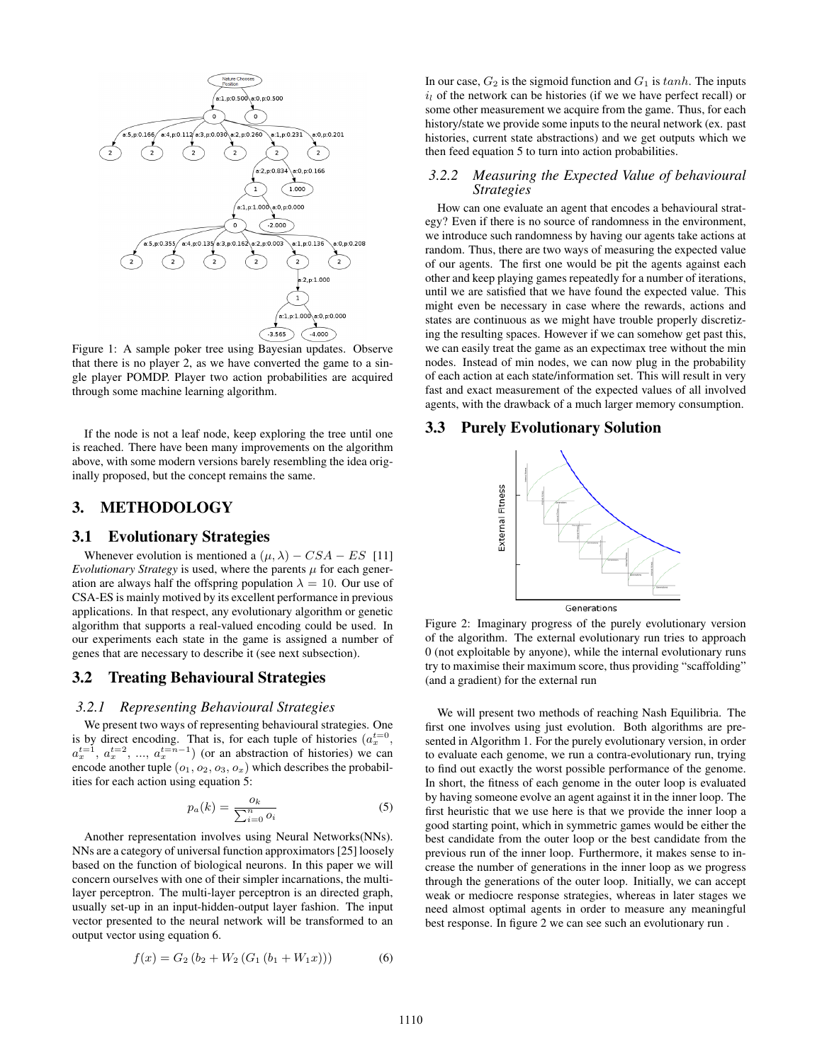

Figure 1: A sample poker tree using Bayesian updates. Observe that there is no player 2, as we have converted the game to a single player POMDP. Player two action probabilities are acquired through some machine learning algorithm.

If the node is not a leaf node, keep exploring the tree until one is reached. There have been many improvements on the algorithm above, with some modern versions barely resembling the idea originally proposed, but the concept remains the same.

## 3. METHODOLOGY

## 3.1 Evolutionary Strategies

Whenever evolution is mentioned a  $(\mu, \lambda) - CSA - ES$  [11] *Evolutionary Strategy* is used, where the parents  $\mu$  for each generation are always half the offspring population  $\lambda = 10$ . Our use of CSA-ES is mainly motived by its excellent performance in previous applications. In that respect, any evolutionary algorithm or genetic algorithm that supports a real-valued encoding could be used. In our experiments each state in the game is assigned a number of genes that are necessary to describe it (see next subsection).

## 3.2 Treating Behavioural Strategies

#### *3.2.1 Representing Behavioural Strategies*

We present two ways of representing behavioural strategies. One is by direct encoding. That is, for each tuple of histories  $(a_x^{t=0},$  $a_x^{t=1}, a_x^{t=2}, ..., a_x^{t=n-1}$  (or an abstraction of histories) we can encode another tuple  $(o_1, o_2, o_3, o_x)$  which describes the probabilities for each action using equation 5:

$$
p_a(k) = \frac{o_k}{\sum_{i=0}^n o_i} \tag{5}
$$

Another representation involves using Neural Networks(NNs). NNs are a category of universal function approximators [25] loosely based on the function of biological neurons. In this paper we will concern ourselves with one of their simpler incarnations, the multilayer perceptron. The multi-layer perceptron is an directed graph, usually set-up in an input-hidden-output layer fashion. The input vector presented to the neural network will be transformed to an output vector using equation 6.

$$
f(x) = G_2 (b_2 + W_2 (G_1 (b_1 + W_1 x)))
$$
 (6)

In our case,  $G_2$  is the sigmoid function and  $G_1$  is  $tanh$ . The inputs  $i_l$  of the network can be histories (if we we have perfect recall) or some other measurement we acquire from the game. Thus, for each history/state we provide some inputs to the neural network (ex. past histories, current state abstractions) and we get outputs which we then feed equation 5 to turn into action probabilities.

#### *3.2.2 Measuring the Expected Value of behavioural Strategies*

How can one evaluate an agent that encodes a behavioural strategy? Even if there is no source of randomness in the environment, we introduce such randomness by having our agents take actions at random. Thus, there are two ways of measuring the expected value of our agents. The first one would be pit the agents against each other and keep playing games repeatedly for a number of iterations, until we are satisfied that we have found the expected value. This might even be necessary in case where the rewards, actions and states are continuous as we might have trouble properly discretizing the resulting spaces. However if we can somehow get past this, we can easily treat the game as an expectimax tree without the min nodes. Instead of min nodes, we can now plug in the probability of each action at each state/information set. This will result in very fast and exact measurement of the expected values of all involved agents, with the drawback of a much larger memory consumption.

## 3.3 Purely Evolutionary Solution



Figure 2: Imaginary progress of the purely evolutionary version of the algorithm. The external evolutionary run tries to approach 0 (not exploitable by anyone), while the internal evolutionary runs try to maximise their maximum score, thus providing "scaffolding" (and a gradient) for the external run

We will present two methods of reaching Nash Equilibria. The first one involves using just evolution. Both algorithms are presented in Algorithm 1. For the purely evolutionary version, in order to evaluate each genome, we run a contra-evolutionary run, trying to find out exactly the worst possible performance of the genome. In short, the fitness of each genome in the outer loop is evaluated by having someone evolve an agent against it in the inner loop. The first heuristic that we use here is that we provide the inner loop a good starting point, which in symmetric games would be either the best candidate from the outer loop or the best candidate from the previous run of the inner loop. Furthermore, it makes sense to increase the number of generations in the inner loop as we progress through the generations of the outer loop. Initially, we can accept weak or mediocre response strategies, whereas in later stages we need almost optimal agents in order to measure any meaningful best response. In figure 2 we can see such an evolutionary run .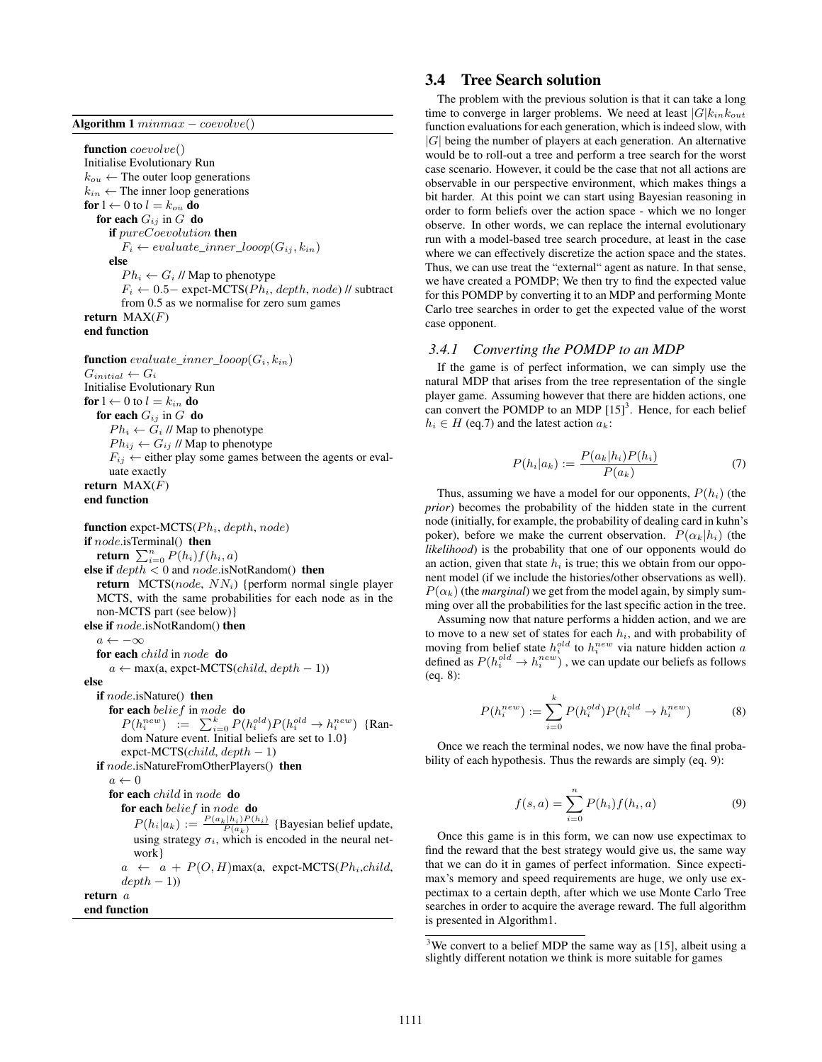Algorithm 1  $minmax - coevolve()$ 

function *coevolve*() Initialise Evolutionary Run  $k_{ou} \leftarrow$  The outer loop generations  $k_{in} \leftarrow$  The inner loop generations for  $l \leftarrow 0$  to  $l = k_{ou}$  do for each  $G_{ij}$  in  $G$  do if pureCoevolution then  $F_i \leftarrow evaluate\_inner\_loop(G_{ij}, k_{in})$ else  $Ph_i \leftarrow G_i$  // Map to phenotype  $F_i \leftarrow 0.5$  – expct-MCTS( $Ph_i$ , depth, node) // subtract from 0.5 as we normalise for zero sum games return  $MAX(F)$ end function

**function** evaluate\_inner\_looop( $G_i, k_{in}$ )  $G_{initial} \leftarrow G_i$ Initialise Evolutionary Run for  $l \leftarrow 0$  to  $l = k_{in}$  do for each  $G_{ij}$  in G do  $Ph_i \leftarrow G_i$  // Map to phenotype  $Ph_{ij} \leftarrow G_{ij}$  // Map to phenotype  $F_{ij} \leftarrow$  either play some games between the agents or evaluate exactly return  $MAX(F)$ end function

function expct-MCTS( $Ph<sub>i</sub>$ , depth, node) if *node*.isTerminal() then return  $\sum_{i=0}^{n} P(h_i) f(h_i, a)$ else if  $depth < 0$  and  $node.isNotRandom()$  then return MCTS(node,  $NN_i$ ) {perform normal single player MCTS, with the same probabilities for each node as in the non-MCTS part (see below)} else if node.isNotRandom() then  $a \leftarrow -\infty$ for each child in node do  $a \leftarrow max(a, \text{expt-MCTS}(child, depth - 1))$ else if *node*.isNature() then for each belief in node do  $P(h_i^{new})$  :=  $\sum_{i=0}^k P(h_i^{old}) P(h_i^{old} \rightarrow h_i^{new})$  {Random Nature event. Initial beliefs are set to 1.0}  $\text{expt-MCTS}(child, depth-1)$ if node.isNatureFromOtherPlayers() then  $a \leftarrow 0$ for each child in node do for each belief in node do  $P(h_i|a_k) := \frac{P(a_k|h_i)P(h_i)}{P(a_k)}$  {Bayesian belief update, using strategy  $\sigma_i$ , which is encoded in the neural network<sup>}</sup>  $a \leftarrow a + P(O, H) \max(a, \text{ expect-MCTS}(Ph_i, \text{child},$  $depth - 1)$ return a end function

## 3.4 Tree Search solution

The problem with the previous solution is that it can take a long time to converge in larger problems. We need at least  $|G|k_{in}k_{out}$ function evaluations for each generation, which is indeed slow, with  $|G|$  being the number of players at each generation. An alternative would be to roll-out a tree and perform a tree search for the worst case scenario. However, it could be the case that not all actions are observable in our perspective environment, which makes things a bit harder. At this point we can start using Bayesian reasoning in order to form beliefs over the action space - which we no longer observe. In other words, we can replace the internal evolutionary run with a model-based tree search procedure, at least in the case where we can effectively discretize the action space and the states. Thus, we can use treat the "external" agent as nature. In that sense, we have created a POMDP; We then try to find the expected value for this POMDP by converting it to an MDP and performing Monte Carlo tree searches in order to get the expected value of the worst case opponent.

### *3.4.1 Converting the POMDP to an MDP*

If the game is of perfect information, we can simply use the natural MDP that arises from the tree representation of the single player game. Assuming however that there are hidden actions, one can convert the POMDP to an MDP  $[15]^3$ . Hence, for each belief  $h_i \in H$  (eq.7) and the latest action  $a_k$ :

$$
P(h_i|a_k) := \frac{P(a_k|h_i)P(h_i)}{P(a_k)}\tag{7}
$$

Thus, assuming we have a model for our opponents,  $P(h_i)$  (the *prior*) becomes the probability of the hidden state in the current node (initially, for example, the probability of dealing card in kuhn's poker), before we make the current observation.  $P(\alpha_k|h_i)$  (the *likelihood*) is the probability that one of our opponents would do an action, given that state  $h_i$  is true; this we obtain from our opponent model (if we include the histories/other observations as well).  $P(\alpha_k)$  (the *marginal*) we get from the model again, by simply summing over all the probabilities for the last specific action in the tree.

Assuming now that nature performs a hidden action, and we are to move to a new set of states for each  $h_i$ , and with probability of moving from belief state  $h_i^{old}$  to  $h_i^{new}$  via nature hidden action a defined as  $P(h_i^{old} \to h_i^{new})$  , we can update our beliefs as follows (eq. 8):

$$
P(h_i^{new}) := \sum_{i=0}^{k} P(h_i^{old}) P(h_i^{old} \to h_i^{new})
$$
 (8)

Once we reach the terminal nodes, we now have the final probability of each hypothesis. Thus the rewards are simply (eq. 9):

$$
f(s, a) = \sum_{i=0}^{n} P(h_i) f(h_i, a)
$$
 (9)

Once this game is in this form, we can now use expectimax to find the reward that the best strategy would give us, the same way that we can do it in games of perfect information. Since expectimax's memory and speed requirements are huge, we only use expectimax to a certain depth, after which we use Monte Carlo Tree searches in order to acquire the average reward. The full algorithm is presented in Algorithm1.

 $3$ We convert to a belief MDP the same way as [15], albeit using a slightly different notation we think is more suitable for games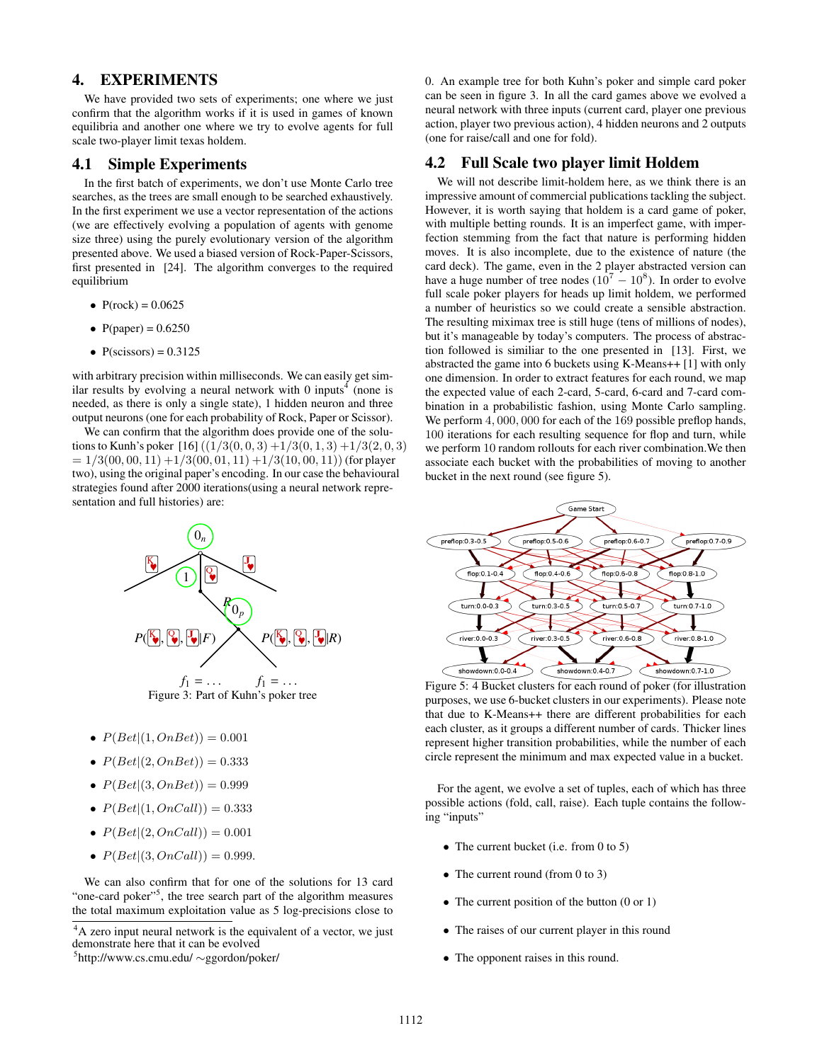## 4. EXPERIMENTS

We have provided two sets of experiments; one where we just confirm that the algorithm works if it is used in games of known equilibria and another one where we try to evolve agents for full scale two-player limit texas holdem.

#### 4.1 Simple Experiments

In the first batch of experiments, we don't use Monte Carlo tree searches, as the trees are small enough to be searched exhaustively. In the first experiment we use a vector representation of the actions (we are effectively evolving a population of agents with genome size three) using the purely evolutionary version of the algorithm presented above. We used a biased version of Rock-Paper-Scissors, first presented in [24]. The algorithm converges to the required equilibrium

- $P(rock) = 0.0625$
- P(paper) =  $0.6250$
- P(scissors) =  $0.3125$

with arbitrary precision within milliseconds. We can easily get similar results by evolving a neural network with 0 inputs<sup>4</sup> (none is needed, as there is only a single state), 1 hidden neuron and three output neurons (one for each probability of Rock, Paper or Scissor).

We can confirm that the algorithm does provide one of the solutions to Kunh's poker  $[16]$  $((1/3(0, 0, 3) +1/3(0, 1, 3) +1/3(2, 0, 3))$  $= 1/3(00, 00, 11) + 1/3(00, 01, 11) + 1/3(10, 00, 11)$  (for player two), using the original paper's encoding. In our case the behavioural strategies found after 2000 iterations(using a neural network representation and full histories) are:



- $P(Bet|(1, On Bet)) = 0.001$
- $P(Bet|(2, On Bet)) = 0.333$
- $P(Bet|(3, On Bet)) = 0.999$
- $P(Bet|(1, OnCall)) = 0.333$
- $P(Bet|(2, OnCall)) = 0.001$
- $P(Bet|(3, OnCall)) = 0.999$ .

We can also confirm that for one of the solutions for 13 card "one-card poker"<sup>5</sup>, the tree search part of the algorithm measures the total maximum exploitation value as 5 log-precisions close to

 $A<sup>4</sup>A$  zero input neural network is the equivalent of a vector, we just demonstrate here that it can be evolved

0. An example tree for both Kuhn's poker and simple card poker can be seen in figure 3. In all the card games above we evolved a neural network with three inputs (current card, player one previous action, player two previous action), 4 hidden neurons and 2 outputs (one for raise/call and one for fold).

## 4.2 Full Scale two player limit Holdem

We will not describe limit-holdem here, as we think there is an impressive amount of commercial publications tackling the subject. However, it is worth saying that holdem is a card game of poker, with multiple betting rounds. It is an imperfect game, with imperfection stemming from the fact that nature is performing hidden moves. It is also incomplete, due to the existence of nature (the card deck). The game, even in the 2 player abstracted version can have a huge number of tree nodes  $(10^7 - 10^8)$ . In order to evolve full scale poker players for heads up limit holdem, we performed a number of heuristics so we could create a sensible abstraction. The resulting miximax tree is still huge (tens of millions of nodes), but it's manageable by today's computers. The process of abstraction followed is similiar to the one presented in [13]. First, we abstracted the game into 6 buckets using K-Means++ [1] with only one dimension. In order to extract features for each round, we map the expected value of each 2-card, 5-card, 6-card and 7-card combination in a probabilistic fashion, using Monte Carlo sampling. We perform  $4,000,000$  for each of the 169 possible preflop hands, 100 iterations for each resulting sequence for flop and turn, while we perform 10 random rollouts for each river combination.We then associate each bucket with the probabilities of moving to another bucket in the next round (see figure 5).



Figure 5: 4 Bucket clusters for each round of poker (for illustration purposes, we use 6-bucket clusters in our experiments). Please note that due to K-Means++ there are different probabilities for each each cluster, as it groups a different number of cards. Thicker lines represent higher transition probabilities, while the number of each circle represent the minimum and max expected value in a bucket.

For the agent, we evolve a set of tuples, each of which has three possible actions (fold, call, raise). Each tuple contains the following "inputs"

- The current bucket (i.e. from 0 to 5)
- The current round (from 0 to 3)
- The current position of the button (0 or 1)
- The raises of our current player in this round
- The opponent raises in this round.

<sup>5</sup> http://www.cs.cmu.edu/ ∼ggordon/poker/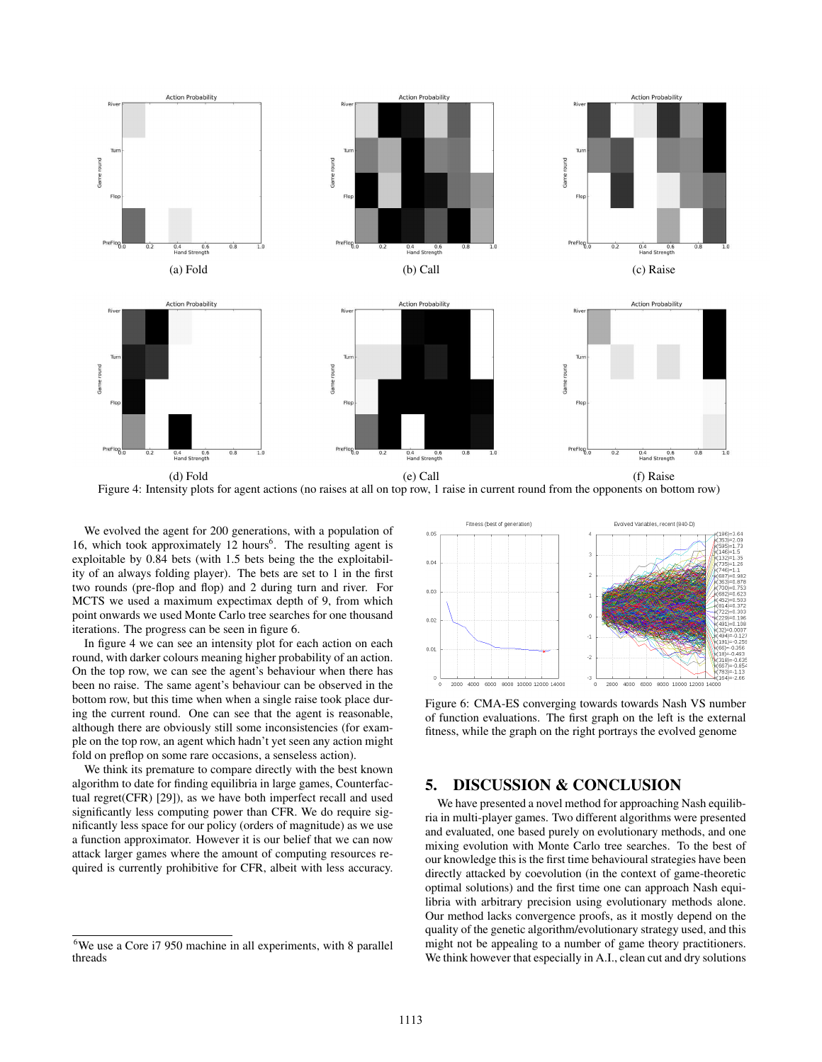

Figure 4: Intensity plots for agent actions (no raises at all on top row, 1 raise in current round from the opponents on bottom row)

We evolved the agent for 200 generations, with a population of 16, which took approximately  $12$  hours<sup>6</sup>. The resulting agent is exploitable by 0.84 bets (with 1.5 bets being the the exploitability of an always folding player). The bets are set to 1 in the first two rounds (pre-flop and flop) and 2 during turn and river. For MCTS we used a maximum expectimax depth of 9, from which point onwards we used Monte Carlo tree searches for one thousand iterations. The progress can be seen in figure 6.

In figure 4 we can see an intensity plot for each action on each round, with darker colours meaning higher probability of an action. On the top row, we can see the agent's behaviour when there has been no raise. The same agent's behaviour can be observed in the bottom row, but this time when when a single raise took place during the current round. One can see that the agent is reasonable, although there are obviously still some inconsistencies (for example on the top row, an agent which hadn't yet seen any action might fold on preflop on some rare occasions, a senseless action).

We think its premature to compare directly with the best known algorithm to date for finding equilibria in large games, Counterfactual regret(CFR) [29]), as we have both imperfect recall and used significantly less computing power than CFR. We do require significantly less space for our policy (orders of magnitude) as we use a function approximator. However it is our belief that we can now attack larger games where the amount of computing resources required is currently prohibitive for CFR, albeit with less accuracy.



Figure 6: CMA-ES converging towards towards Nash VS number of function evaluations. The first graph on the left is the external fitness, while the graph on the right portrays the evolved genome

## 5. DISCUSSION & CONCLUSION

We have presented a novel method for approaching Nash equilibria in multi-player games. Two different algorithms were presented and evaluated, one based purely on evolutionary methods, and one mixing evolution with Monte Carlo tree searches. To the best of our knowledge this is the first time behavioural strategies have been directly attacked by coevolution (in the context of game-theoretic optimal solutions) and the first time one can approach Nash equilibria with arbitrary precision using evolutionary methods alone. Our method lacks convergence proofs, as it mostly depend on the quality of the genetic algorithm/evolutionary strategy used, and this might not be appealing to a number of game theory practitioners. We think however that especially in A.I., clean cut and dry solutions

<sup>&</sup>lt;sup>6</sup>We use a Core i7 950 machine in all experiments, with 8 parallel threads